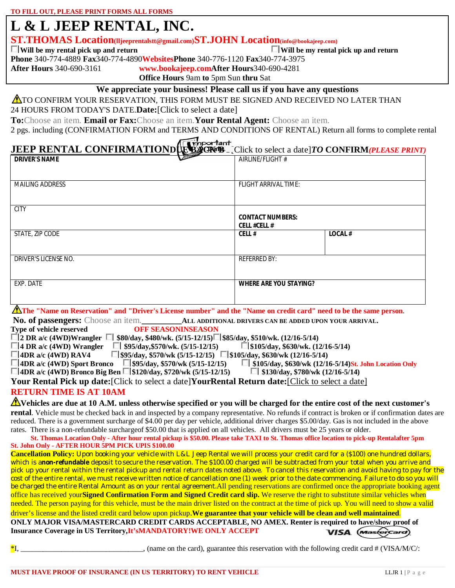# **L & L JEEP RENTAL, INC.**

**ST.THOMAS Location(lljeeprentalstt@gmail.com)ST.JOHN Location(info@bookajeep.com)**

**Will be my rental pick up and return Will be my rental pick up and return**

**Phone** 340-774-4889 **Fax**340-774-4890**WebsitesPhone** 340-776-1120 **Fax**340-774-3975

**After Hours** 340-690-3161 **www.bookajeep.comAfter Hours**340-690-4281

**Office Hours** 9am **to** 5pm Sun **thru** Sat

#### **We appreciate your business! Please call us if you have any questions**

**A**TO CONFIRM YOUR RESERVATION, THIS FORM MUST BE SIGNED AND RECEIVED NO LATER THAN

24 HOURS FROM TODAY'S DATE.**Date:**[Click to select a date]

**To:**Choose an item. **Email or Fax:**Choose an item.**Your Rental Agent:** Choose an item.

2 pgs. including (CONFIRMATION FORM and TERMS AND CONDITIONS OF RENTAL) Return all forms to complete rental

## **JEEP RENTAL CONFIRMATIONDUE BOCK BY**<sub>c</sub> Click to select a date]*TO* CONFIRM*(PLEASE PRINT)*

| <b>DRIVER'S NAME</b>   | $\sqrt{2}$<br>AIRLINE/FLIGHT#                                                                                       |               |
|------------------------|---------------------------------------------------------------------------------------------------------------------|---------------|
|                        |                                                                                                                     |               |
| <b>MAILING ADDRESS</b> | <b>FLIGHT ARRIVAL TIME:</b>                                                                                         |               |
| <b>CITY</b>            |                                                                                                                     |               |
|                        | <b>CONTACT NUMBERS:</b><br><b>CELL #CELL #</b>                                                                      |               |
| STATE, ZIP CODE        | CELL#                                                                                                               | <b>LOCAL#</b> |
| DRIVER'S LICENSE NO.   | <b>REFERRED BY:</b>                                                                                                 |               |
| EXP. DATE              | <b>WHERE ARE YOU STAYING?</b>                                                                                       |               |
|                        | A The "Name on Reservation" and "Driver's License number" and the "Name on credit card" need to be the same person. |               |
|                        | No. of passengers: Choose an item. ALL ADDITIONAL DRIVERS CAN BE ADDED UPON YOUR ARRIVAL.                           |               |

**Type of vehicle reserved OFF SEASONINSEASON** 

**2 DR a/c (4WD)Wrangler \$80/day, \$480/wk. (5/15-12/15) \$85/day, \$510/wk. (12/16-5/14)**

**4 DR a/c (4WD) Wrangler 51 \$95/day,\$570/wk.** (5/15-12/15) \$105/day, \$630/wk. (12/16-5/14) **5** 5 (4WD) RAV4 5 (\$95/day, \$570/wk (5/15-12/15) \$105/day, \$630/wk (12/16-5/14)

**4DR** 5570/wk (5/15-12/15) **8105/day, \$630/wk (12/16-5/14)**<br> **6DR** 595/day, \$570/wk (5/15-12/15) **8**\$105/day, \$630/wk (12/16-5/14) St. John Location Only 4DR a/c (4WD) Sport Bronco **\$105/day, \$570/wk (5/15-12/15)** \$105/day, \$630/wk (12/16-5/14) St. John Location Only 2016<br>14DR a/c (4WD) Bronco Big Ben S120/day, \$720/wk (5/15-12/15) \$130/day, \$780/wk (12/16-5/14)

**4DR a/c (4WD) Bronco Big Ben 8120/day, \$720/wk (5/15-12/15)** 

**Your Rental Pick up date:**[Click to select a date]**YourRental Return date:**[Click to select a date] **RETURN TIME IS AT 10AM**

**Vehicles are due at 10 A.M. unless otherwise specified or you will be charged for the entire cost of the next customer's rental**. Vehicle must be checked back in and inspected by a company representative. No refunds if contract is broken or if confirmation dates are reduced. There is a government surcharge of \$4.00 per day per vehicle, additional driver charges \$5.00/day. Gas is not included in the above

rates. There is a non-refundable surchargeof \$50.00 that is applied on all vehicles. All drivers must be 25 years or older.

**St. Thomas Location Only - After hour rental pickup is \$50.00. Please take TAXI to St. Thomas office location to pick-up Rentalafter 5pm St. John Only - AFTER HOUR 5PM PICK UPIS \$100.00**

**Cancellation Policy:** Upon booking your vehicle with L&L Jeep Rental we will process your credit card for a (\$100) one hundred dollars, which is anon-refundable deposit to secure the reservation. The \$100.00 charged will be subtracted from your total when you arrive and pick up your rental within the rental pickup and rental return dates noted above. To cancel this reservation and avoid having to pay for the cost of the entire rental, we must receive written notice of cancellation one (1) week prior to the date commencing. Failure to do so you will be charged the entire Rental Amount as on your rental agreement.All pending reservations are confirmed once the appropriate booking agent office has received your**Signed Confirmation Form and Signed Credit card slip.** We reserve the right to substitute similar vehicles when needed. The person paying for this vehicle, must be the main driver listed on the contract at the time of pick up. You will need to show a valid driver's license and the listed credit card below upon pickup.**We guarantee that your vehicle will be clean and well maintained**. **ONLY MAJOR VISA/MASTERCARD CREDIT CARDS ACCEPTABLE, NO AMEX. Renter is required to have/show proof of Insurance Coverage in US Territory,It'sMANDATORY!WE ONLY ACCEPT VISA** (*mastercard*)

 $*$ I, state on the card), guarantee this reservation with the following credit card # (VISA/M/C/: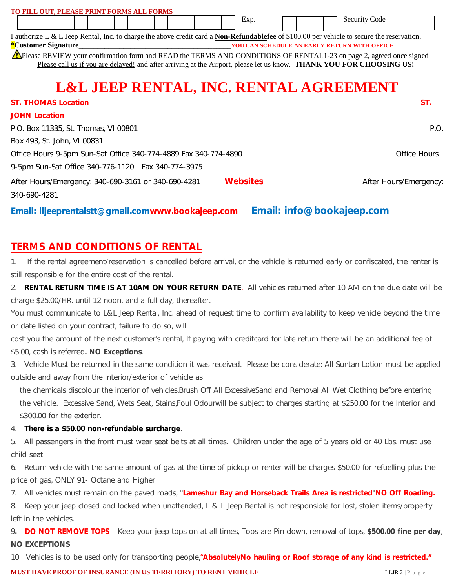| TO FILL OUT, PLEASE PRINT FORMS ALL FORMS                                                                                                         |                 |                      |                        |
|---------------------------------------------------------------------------------------------------------------------------------------------------|-----------------|----------------------|------------------------|
|                                                                                                                                                   | Exp.            | <b>Security Code</b> |                        |
| I authorize L & L Jeep Rental, Inc. to charge the above credit card a <b>Non-Refundablefee</b> of \$100.00 per vehicle to secure the reservation. |                 |                      |                        |
| <i><b>*Customer Signature</b></i>                                                                                                                 |                 |                      |                        |
| Thease REVIEW your confirmation form and READ the TERMS AND CONDITIONS OF RENTAL1-23 on page 2, agreed once signed                                |                 |                      |                        |
| Please call us if you are delayed! and after arriving at the Airport, please let us know. THANK YOU FOR CHOOSING US!                              |                 |                      |                        |
|                                                                                                                                                   |                 |                      |                        |
| <b>L&amp;L JEEP RENTAL, INC. RENTAL AGREEMENT</b>                                                                                                 |                 |                      |                        |
| <b>ST. THOMAS Location</b>                                                                                                                        |                 |                      | ST.                    |
| <b>JOHN Location</b>                                                                                                                              |                 |                      |                        |
| P.O. Box 11335, St. Thomas, VI 00801                                                                                                              |                 |                      | P.O.                   |
| Box 493, St. John, VI 00831                                                                                                                       |                 |                      |                        |
| Office Hours 9-5pm Sun-Sat Office 340-774-4889 Fax 340-774-4890                                                                                   |                 |                      | Office Hours           |
| 9-5pm Sun-Sat Office 340-776-1120  Fax 340-774-3975                                                                                               |                 |                      |                        |
| After Hours/Emergency: 340-690-3161 or 340-690-4281                                                                                               | <b>Websites</b> |                      | After Hours/Emergency: |
| 340-690-4281                                                                                                                                      |                 |                      |                        |
|                                                                                                                                                   |                 |                      |                        |

**Email: lljeeprentalstt@gmail.comwww.bookajeep.com Email: info@bookajeep.com**

### **TERMS AND CONDITIONS OF RENTAL**

1. If the rental agreement/reservation is cancelled before arrival, or the vehicle is returned early or confiscated, the renter is still responsible for the entire cost of the rental.

2. **RENTAL RETURN TIME IS AT 10AM ON YOUR RETURN DATE**. All vehicles returned after 10 AM on the due date will be charge \$25.00/HR. until 12 noon, and a full day, thereafter.

You must communicate to L&L Jeep Rental, Inc. ahead of request time to confirm availability to keep vehicle beyond the time or date listed on your contract, failure to do so, will

cost you the amount of the next customer's rental, If paying with creditcard for late return there will be an additional fee of \$5.00, cash is referred**. NO Exceptions**.

3. Vehicle Must be returned in the same condition it was received. Please be considerate: All Suntan Lotion must be applied outside and away from the interior/exterior of vehicle as

the chemicals discolour the interior of vehicles.Brush Off All ExcessiveSand and Removal All Wet Clothing before entering the vehicle. Excessive Sand, Wets Seat, Stains,Foul Odourwill be subject to charges starting at \$250.00 for the Interior and \$300.00 for the exterior.

4. **There is a \$50.00 non-refundable surcharge**.

5. All passengers in the front must wear seat belts at all times. Children under the age of 5 years old or 40 Lbs. must use child seat.

6. Return vehicle with the same amount of gas at the time of pickup or renter will be charges \$50.00 for refuelling plus the price of gas, ONLY 91- Octane and Higher

7. All vehicles must remain on the paved roads, "**Lameshur Bay and Horseback Trails Area is restricted**"**NO Off Roading.**

8. Keep your jeep closed and locked when unattended, L & L Jeep Rental is not responsible for lost, stolen items/property left in the vehicles.

9**. DO NOT REMOVE TOPS** - Keep your jeep tops on at all times, Tops are Pin down, removal of tops, **\$500.00 fine per day**, **NO EXCEPTIONS**

10. Vehicles is to be used only for transporting people,"**AbsolutelyNo hauling or Roof storage of any kind is restricted."**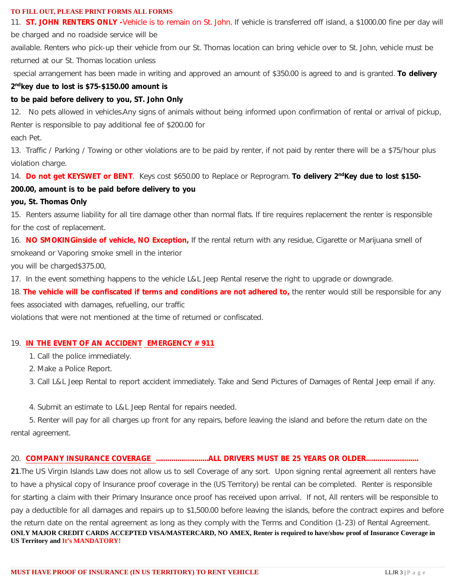#### **TO FILL OUT, PLEASE PRINT FORMS ALL FORMS**

11. **ST. JOHN RENTERS ONLY -**Vehicle is to remain on St. John. If vehicle is transferred off island, a \$1000.00 fine per day will

be charged and no roadside service will be

available. Renters who pick-up their vehicle from our St. Thomas location can bring vehicle over to St. John, vehicle must be returned at our St. Thomas location unless

special arrangement has been made in writing and approved an amount of \$350.00 is agreed to and is granted. **To delivery**

#### **2 ndkey due to lost is \$75-\$150.00 amount is**

#### **to be paid before delivery to you, ST. John Only**

12. No pets allowed in vehicles.Any signs of animals without being informed upon confirmation of rental or arrival of pickup, Renter is responsible to pay additional fee of \$200.00 for each Pet.

13. Traffic / Parking / Towing or other violations are to be paid by renter, if not paid by renter there will be a \$75/hour plus violation charge.

14. **Do not get KEYSWET or BENT**. Keys cost \$650.00 to Replace or Reprogram. **To delivery 2 ndKey due to lost \$150-**

#### **200.00, amount is to be paid before delivery to you**

#### **you, St. Thomas Only**

15. Renters assume liability for all tire damage other than normal flats. If tire requires replacement the renter is responsible for the cost of replacement.

16. **NO SMOKINGinside of vehicle, NO Exception,** If the rental return with any residue, Cigarette or Marijuana smell of smokeand or Vaporing smoke smell in the interior

you will be charged\$375.00,

17. In the event something happens to the vehicle L&L Jeep Rental reserve the right to upgrade or downgrade.

18. **The vehicle will be confiscated if terms and conditions are not adhered to,** the renter would still be responsible for any

fees associated with damages, refuelling, our traffic

violations that were not mentioned at the time of returned or confiscated.

#### 19. **IN THE EVENT OF AN ACCIDENT EMERGENCY # 911**

- 1. Call the police immediately.
- 2. Make a Police Report.
- 3. Call L&L Jeep Rental to report accident immediately. Take and Send Pictures of Damages of Rental Jeep email if any.
- 4. Submit an estimate to L&L Jeep Rental for repairs needed.

 5. Renter will pay for all charges up front for any repairs, before leaving the island and before the return date on the rental agreement.

#### 20. **COMPANY INSURANCE COVERAGE ...........................ALL DRIVERS MUST BE 25 YEARS OR OLDER...........................**

**21**.The US Virgin Islands Law does not allow us to sell Coverage of any sort. Upon signing rental agreement all renters have to have a physical copy of Insurance proof coverage in the (US Territory) be rental can be completed. Renter is responsible for starting a claim with their Primary Insurance once proof has received upon arrival. If not, All renters will be responsible to pay a deductible for all damages and repairs up to \$1,500.00 before leaving the islands, before the contract expires and before the return date on the rental agreement as long as they comply with the Terms and Condition (1-23) of Rental Agreement. **ONLY MAJOR CREDIT CARDS ACCEPTED VISA/MASTERCARD, NO AMEX, Renter is required to have/show proof of Insurance Coverage in US Territory and It's MANDATORY!**